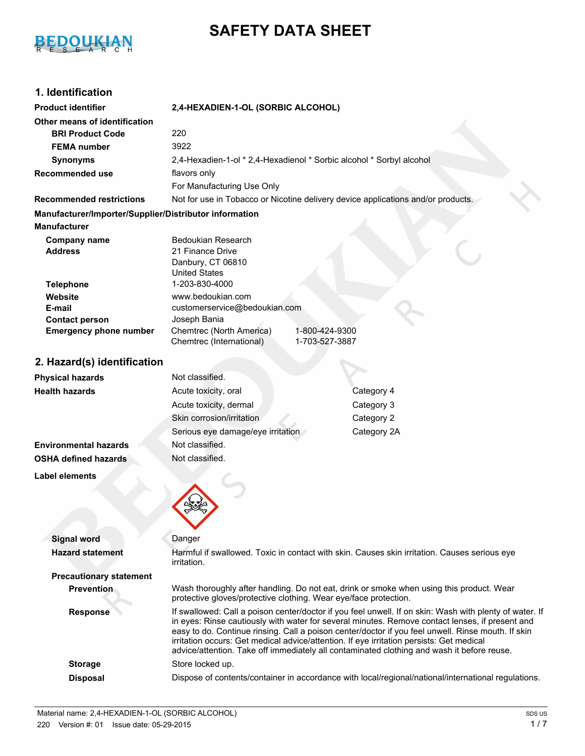

# **SAFETY DATA SHEET**

## **1. Identification**

| <b>Product identifier</b>                              | 2,4-HEXADIEN-1-OL (SORBIC ALCOHOL)                                   |                                                                                              |  |
|--------------------------------------------------------|----------------------------------------------------------------------|----------------------------------------------------------------------------------------------|--|
| Other means of identification                          |                                                                      |                                                                                              |  |
| <b>BRI Product Code</b>                                | 220                                                                  |                                                                                              |  |
| <b>FEMA</b> number                                     | 3922                                                                 |                                                                                              |  |
| <b>Synonyms</b>                                        | 2,4-Hexadien-1-ol * 2,4-Hexadienol * Sorbic alcohol * Sorbyl alcohol |                                                                                              |  |
| <b>Recommended use</b>                                 | flavors only                                                         |                                                                                              |  |
|                                                        | For Manufacturing Use Only                                           |                                                                                              |  |
| <b>Recommended restrictions</b>                        |                                                                      | Not for use in Tobacco or Nicotine delivery device applications and/or products.             |  |
| Manufacturer/Importer/Supplier/Distributor information |                                                                      |                                                                                              |  |
| <b>Manufacturer</b>                                    |                                                                      |                                                                                              |  |
| <b>Company name</b>                                    | Bedoukian Research                                                   |                                                                                              |  |
| <b>Address</b>                                         | 21 Finance Drive                                                     |                                                                                              |  |
|                                                        | Danbury, CT 06810                                                    |                                                                                              |  |
| <b>Telephone</b>                                       | <b>United States</b><br>1-203-830-4000                               |                                                                                              |  |
| Website                                                | www.bedoukian.com                                                    |                                                                                              |  |
| E-mail                                                 | customerservice@bedoukian.com                                        |                                                                                              |  |
| <b>Contact person</b>                                  | Joseph Bania                                                         |                                                                                              |  |
| <b>Emergency phone number</b>                          | Chemtrec (North America)<br>1-800-424-9300                           |                                                                                              |  |
|                                                        | Chemtrec (International)                                             | 1-703-527-3887                                                                               |  |
| 2. Hazard(s) identification                            |                                                                      |                                                                                              |  |
| <b>Physical hazards</b>                                | Not classified.                                                      |                                                                                              |  |
| <b>Health hazards</b>                                  | Acute toxicity, oral                                                 | Category 4                                                                                   |  |
|                                                        | Acute toxicity, dermal                                               | Category 3                                                                                   |  |
|                                                        | Skin corrosion/irritation                                            | Category 2                                                                                   |  |
|                                                        | Serious eye damage/eye irritation                                    | Category 2A                                                                                  |  |
| <b>Environmental hazards</b>                           | Not classified.                                                      |                                                                                              |  |
| <b>OSHA defined hazards</b>                            | Not classified.                                                      |                                                                                              |  |
| <b>Label elements</b>                                  |                                                                      |                                                                                              |  |
|                                                        |                                                                      |                                                                                              |  |
|                                                        |                                                                      |                                                                                              |  |
|                                                        |                                                                      |                                                                                              |  |
| <b>Signal word</b>                                     | Danger                                                               |                                                                                              |  |
| <b>Hazard statement</b>                                | irritati∩n                                                           | Harmful if swallowed. Toxic in contact with skin. Causes skin irritation. Causes serious eye |  |

|                                | irritation.                                                                                                                                                                                                                                                                                                                                                                                                                                                                                                |
|--------------------------------|------------------------------------------------------------------------------------------------------------------------------------------------------------------------------------------------------------------------------------------------------------------------------------------------------------------------------------------------------------------------------------------------------------------------------------------------------------------------------------------------------------|
| <b>Precautionary statement</b> |                                                                                                                                                                                                                                                                                                                                                                                                                                                                                                            |
| <b>Prevention</b>              | Wash thoroughly after handling. Do not eat, drink or smoke when using this product. Wear<br>protective gloves/protective clothing. Wear eye/face protection.                                                                                                                                                                                                                                                                                                                                               |
| <b>Response</b>                | If swallowed: Call a poison center/doctor if you feel unwell. If on skin: Wash with plenty of water. If<br>in eyes: Rinse cautiously with water for several minutes. Remove contact lenses, if present and<br>easy to do. Continue rinsing. Call a poison center/doctor if you feel unwell. Rinse mouth. If skin<br>irritation occurs: Get medical advice/attention. If eye irritation persists: Get medical<br>advice/attention. Take off immediately all contaminated clothing and wash it before reuse. |
| <b>Storage</b>                 | Store locked up.                                                                                                                                                                                                                                                                                                                                                                                                                                                                                           |
| <b>Disposal</b>                | Dispose of contents/container in accordance with local/regional/national/international regulations.                                                                                                                                                                                                                                                                                                                                                                                                        |
|                                |                                                                                                                                                                                                                                                                                                                                                                                                                                                                                                            |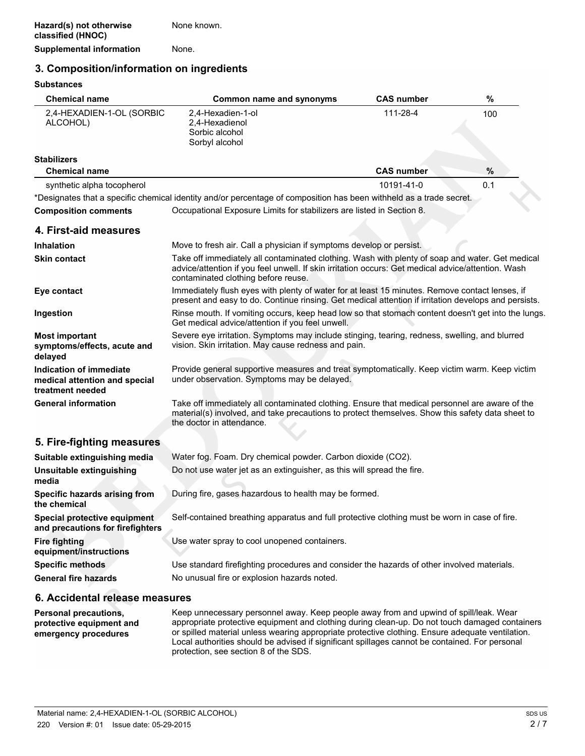#### **3. Composition/information on ingredients**

#### **Substances**

| <b>Chemical name</b>                                                         | <b>Common name and synonyms</b>                                                                                                                                                                                                              | <b>CAS number</b> | $\%$ |
|------------------------------------------------------------------------------|----------------------------------------------------------------------------------------------------------------------------------------------------------------------------------------------------------------------------------------------|-------------------|------|
| 2,4-HEXADIEN-1-OL (SORBIC<br>ALCOHOL)                                        | 2,4-Hexadien-1-ol<br>2,4-Hexadienol<br>Sorbic alcohol<br>Sorbyl alcohol                                                                                                                                                                      | 111-28-4          | 100  |
| <b>Stabilizers</b><br><b>Chemical name</b>                                   |                                                                                                                                                                                                                                              | <b>CAS number</b> | %    |
| synthetic alpha tocopherol                                                   |                                                                                                                                                                                                                                              | 10191-41-0        | 0.1  |
|                                                                              | *Designates that a specific chemical identity and/or percentage of composition has been withheld as a trade secret.                                                                                                                          |                   |      |
| <b>Composition comments</b>                                                  | Occupational Exposure Limits for stabilizers are listed in Section 8.                                                                                                                                                                        |                   |      |
| 4. First-aid measures                                                        |                                                                                                                                                                                                                                              |                   |      |
| <b>Inhalation</b>                                                            | Move to fresh air. Call a physician if symptoms develop or persist.                                                                                                                                                                          |                   |      |
| <b>Skin contact</b>                                                          | Take off immediately all contaminated clothing. Wash with plenty of soap and water. Get medical<br>advice/attention if you feel unwell. If skin irritation occurs: Get medical advice/attention. Wash<br>contaminated clothing before reuse. |                   |      |
| Eye contact                                                                  | Immediately flush eyes with plenty of water for at least 15 minutes. Remove contact lenses, if<br>present and easy to do. Continue rinsing. Get medical attention if irritation develops and persists.                                       |                   |      |
| Ingestion                                                                    | Rinse mouth. If vomiting occurs, keep head low so that stomach content doesn't get into the lungs.<br>Get medical advice/attention if you feel unwell.                                                                                       |                   |      |
| <b>Most important</b><br>symptoms/effects, acute and<br>delayed              | Severe eye irritation. Symptoms may include stinging, tearing, redness, swelling, and blurred<br>vision. Skin irritation. May cause redness and pain.                                                                                        |                   |      |
| Indication of immediate<br>medical attention and special<br>treatment needed | Provide general supportive measures and treat symptomatically. Keep victim warm. Keep victim<br>under observation. Symptoms may be delayed.                                                                                                  |                   |      |
| <b>General information</b>                                                   | Take off immediately all contaminated clothing. Ensure that medical personnel are aware of the<br>material(s) involved, and take precautions to protect themselves. Show this safety data sheet to<br>the doctor in attendance.              |                   |      |
| 5. Fire-fighting measures                                                    |                                                                                                                                                                                                                                              |                   |      |
| Suitable extinguishing media                                                 |                                                                                                                                                                                                                                              |                   |      |
| Unsuitable extinguishing<br>media                                            | Water fog. Foam. Dry chemical powder. Carbon dioxide (CO2).<br>Do not use water jet as an extinguisher, as this will spread the fire.                                                                                                        |                   |      |
| Specific hazards arising from<br>the chemical                                | During fire, gases hazardous to health may be formed.                                                                                                                                                                                        |                   |      |
| Special protective equipment<br>and precautions for firefighters             | Self-contained breathing apparatus and full protective clothing must be worn in case of fire.                                                                                                                                                |                   |      |
| <b>Fire fighting</b><br>equipment/instructions                               | Use water spray to cool unopened containers.                                                                                                                                                                                                 |                   |      |
| <b>Specific methods</b>                                                      | Use standard firefighting procedures and consider the hazards of other involved materials.                                                                                                                                                   |                   |      |
| <b>General fire hazards</b>                                                  | No unusual fire or explosion hazards noted.                                                                                                                                                                                                  |                   |      |
| 6. Accidental release measures                                               |                                                                                                                                                                                                                                              |                   |      |

**Personal precautions, protective equipment and emergency procedures** Keep unnecessary personnel away. Keep people away from and upwind of spill/leak. Wear appropriate protective equipment and clothing during clean-up. Do not touch damaged containers or spilled material unless wearing appropriate protective clothing. Ensure adequate ventilation. Local authorities should be advised if significant spillages cannot be contained. For personal protection, see section 8 of the SDS.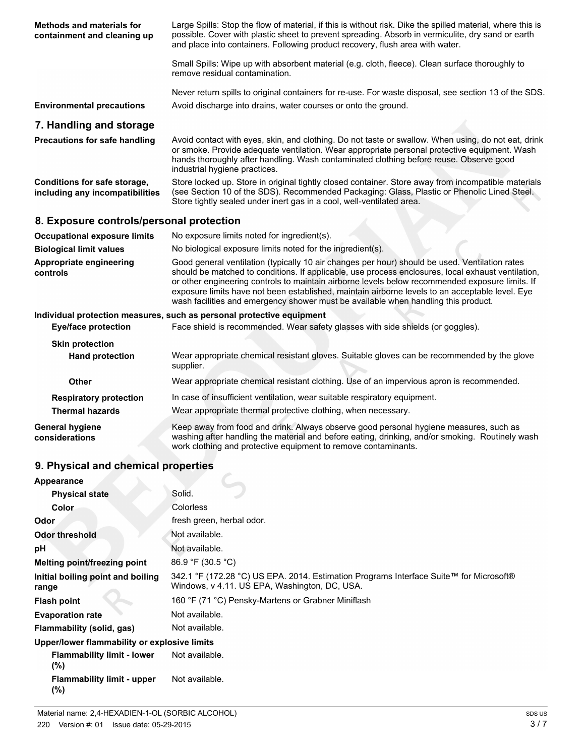| <b>Methods and materials for</b><br>containment and cleaning up | Large Spills: Stop the flow of material, if this is without risk. Dike the spilled material, where this is<br>possible. Cover with plastic sheet to prevent spreading. Absorb in vermiculite, dry sand or earth<br>and place into containers. Following product recovery, flush area with water.                                                                                                                                                                                                 |
|-----------------------------------------------------------------|--------------------------------------------------------------------------------------------------------------------------------------------------------------------------------------------------------------------------------------------------------------------------------------------------------------------------------------------------------------------------------------------------------------------------------------------------------------------------------------------------|
|                                                                 | Small Spills: Wipe up with absorbent material (e.g. cloth, fleece). Clean surface thoroughly to<br>remove residual contamination.                                                                                                                                                                                                                                                                                                                                                                |
| <b>Environmental precautions</b>                                | Never return spills to original containers for re-use. For waste disposal, see section 13 of the SDS.<br>Avoid discharge into drains, water courses or onto the ground.                                                                                                                                                                                                                                                                                                                          |
| 7. Handling and storage                                         |                                                                                                                                                                                                                                                                                                                                                                                                                                                                                                  |
| <b>Precautions for safe handling</b>                            | Avoid contact with eyes, skin, and clothing. Do not taste or swallow. When using, do not eat, drink<br>or smoke. Provide adequate ventilation. Wear appropriate personal protective equipment. Wash<br>hands thoroughly after handling. Wash contaminated clothing before reuse. Observe good<br>industrial hygiene practices.                                                                                                                                                                   |
| Conditions for safe storage,<br>including any incompatibilities | Store locked up. Store in original tightly closed container. Store away from incompatible materials<br>(see Section 10 of the SDS). Recommended Packaging: Glass, Plastic or Phenolic Lined Steel.<br>Store tightly sealed under inert gas in a cool, well-ventilated area.                                                                                                                                                                                                                      |
| 8. Exposure controls/personal protection                        |                                                                                                                                                                                                                                                                                                                                                                                                                                                                                                  |
| <b>Occupational exposure limits</b>                             | No exposure limits noted for ingredient(s).                                                                                                                                                                                                                                                                                                                                                                                                                                                      |
| <b>Biological limit values</b>                                  | No biological exposure limits noted for the ingredient(s).                                                                                                                                                                                                                                                                                                                                                                                                                                       |
| Appropriate engineering<br>controls                             | Good general ventilation (typically 10 air changes per hour) should be used. Ventilation rates<br>should be matched to conditions. If applicable, use process enclosures, local exhaust ventilation,<br>or other engineering controls to maintain airborne levels below recommended exposure limits. If<br>exposure limits have not been established, maintain airborne levels to an acceptable level. Eye<br>wash facilities and emergency shower must be available when handling this product. |
|                                                                 | Individual protection measures, such as personal protective equipment                                                                                                                                                                                                                                                                                                                                                                                                                            |

| Eye/face protection               | Face shield is recommended. Wear safety glasses with side shields (or goggles).                                                                                                                                                                            |  |  |
|-----------------------------------|------------------------------------------------------------------------------------------------------------------------------------------------------------------------------------------------------------------------------------------------------------|--|--|
| <b>Skin protection</b>            |                                                                                                                                                                                                                                                            |  |  |
| <b>Hand protection</b>            | Wear appropriate chemical resistant gloves. Suitable gloves can be recommended by the glove<br>supplier.                                                                                                                                                   |  |  |
| Other                             | Wear appropriate chemical resistant clothing. Use of an impervious apron is recommended.                                                                                                                                                                   |  |  |
| <b>Respiratory protection</b>     | In case of insufficient ventilation, wear suitable respiratory equipment.                                                                                                                                                                                  |  |  |
| <b>Thermal hazards</b>            | Wear appropriate thermal protective clothing, when necessary.                                                                                                                                                                                              |  |  |
| General hygiene<br>considerations | Keep away from food and drink. Always observe good personal hygiene measures, such as<br>washing after handling the material and before eating, drinking, and/or smoking. Routinely wash<br>work clothing and protective equipment to remove contaminants. |  |  |

## **9. Physical and chemical properties**

| Appearance                                   |                                                                                                                                         |
|----------------------------------------------|-----------------------------------------------------------------------------------------------------------------------------------------|
| <b>Physical state</b>                        | Solid.                                                                                                                                  |
| Color                                        | <b>Colorless</b>                                                                                                                        |
| Odor                                         | fresh green, herbal odor.                                                                                                               |
| <b>Odor threshold</b>                        | Not available.                                                                                                                          |
| рH                                           | Not available.                                                                                                                          |
| <b>Melting point/freezing point</b>          | 86.9 °F (30.5 °C)                                                                                                                       |
| Initial boiling point and boiling<br>range   | 342.1 °F (172.28 °C) US EPA. 2014. Estimation Programs Interface Suite™ for Microsoft®<br>Windows, v 4.11. US EPA, Washington, DC, USA. |
| <b>Flash point</b>                           | 160 °F (71 °C) Pensky-Martens or Grabner Miniflash                                                                                      |
| <b>Evaporation rate</b>                      | Not available.                                                                                                                          |
| Flammability (solid, gas)                    | Not available.                                                                                                                          |
| Upper/lower flammability or explosive limits |                                                                                                                                         |
| <b>Flammability limit - lower</b><br>$(\%)$  | Not available.                                                                                                                          |
| <b>Flammability limit - upper</b><br>(%)     | Not available.                                                                                                                          |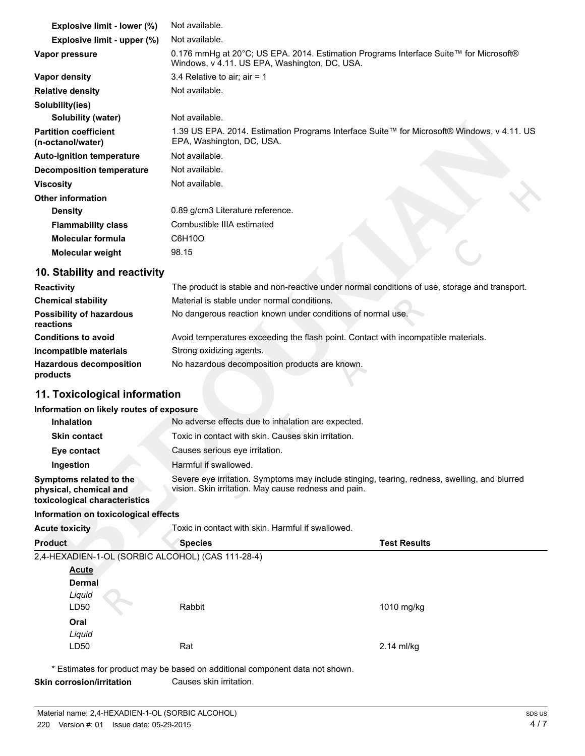| Explosive limit - lower (%)                       | Not available.                                                                                                                         |
|---------------------------------------------------|----------------------------------------------------------------------------------------------------------------------------------------|
| Explosive limit - upper (%)                       | Not available.                                                                                                                         |
| Vapor pressure                                    | 0.176 mmHg at 20°C; US EPA. 2014. Estimation Programs Interface Suite™ for Microsoft®<br>Windows, v 4.11. US EPA, Washington, DC, USA. |
| Vapor density                                     | 3.4 Relative to air; air = 1                                                                                                           |
| <b>Relative density</b>                           | Not available.                                                                                                                         |
| Solubility(ies)                                   |                                                                                                                                        |
| Solubility (water)                                | Not available.                                                                                                                         |
| <b>Partition coefficient</b><br>(n-octanol/water) | 1.39 US EPA. 2014. Estimation Programs Interface Suite™ for Microsoft® Windows, v 4.11. US<br>EPA, Washington, DC, USA.                |
| <b>Auto-ignition temperature</b>                  | Not available.                                                                                                                         |
| <b>Decomposition temperature</b>                  | Not available.                                                                                                                         |
| <b>Viscosity</b>                                  | Not available.                                                                                                                         |
| <b>Other information</b>                          |                                                                                                                                        |
| <b>Density</b>                                    | 0.89 g/cm3 Literature reference.                                                                                                       |
| <b>Flammability class</b>                         | Combustible IIIA estimated                                                                                                             |
| <b>Molecular formula</b>                          | C6H10O                                                                                                                                 |
| Molecular weight                                  | 98.15                                                                                                                                  |

### **10. Stability and reactivity**

| <b>Reactivity</b>                            | The product is stable and non-reactive under normal conditions of use, storage and transport. |
|----------------------------------------------|-----------------------------------------------------------------------------------------------|
| <b>Chemical stability</b>                    | Material is stable under normal conditions.                                                   |
| <b>Possibility of hazardous</b><br>reactions | No dangerous reaction known under conditions of normal use.                                   |
| <b>Conditions to avoid</b>                   | Avoid temperatures exceeding the flash point. Contact with incompatible materials.            |
| Incompatible materials                       | Strong oxidizing agents.                                                                      |
| <b>Hazardous decomposition</b><br>products   | No hazardous decomposition products are known.                                                |

## **11. Toxicological information**

#### **Information on likely routes of exposure**

| Inhalation                                                                         | No adverse effects due to inhalation are expected.                                                                                                    |
|------------------------------------------------------------------------------------|-------------------------------------------------------------------------------------------------------------------------------------------------------|
| <b>Skin contact</b>                                                                | Toxic in contact with skin. Causes skin irritation.                                                                                                   |
| Eye contact                                                                        | Causes serious eye irritation.                                                                                                                        |
| Ingestion                                                                          | Harmful if swallowed.                                                                                                                                 |
| Symptoms related to the<br>physical, chemical and<br>toxicological characteristics | Severe eye irritation. Symptoms may include stinging, tearing, redness, swelling, and blurred<br>vision. Skin irritation. May cause redness and pain. |
| Information on toxicological effects                                               |                                                                                                                                                       |

## **Information on toxicological effects**

| <b>Acute toxicity</b>                             | Toxic in contact with skin. Harmful if swallowed. |                     |
|---------------------------------------------------|---------------------------------------------------|---------------------|
| <b>Product</b>                                    | <b>Species</b>                                    | <b>Test Results</b> |
| 2,4-HEXADIEN-1-OL (SORBIC ALCOHOL) (CAS 111-28-4) |                                                   |                     |
| <b>Acute</b>                                      |                                                   |                     |
| <b>Dermal</b>                                     |                                                   |                     |
| Liquid                                            |                                                   |                     |
| LD50                                              | Rabbit                                            | 1010 mg/kg          |
| Oral                                              |                                                   |                     |
| Liquid                                            |                                                   |                     |
| LD50                                              | Rat                                               | $2.14$ ml/kg        |
|                                                   |                                                   |                     |

\* Estimates for product may be based on additional component data not shown.

**Skin corrosion/irritation** Causes skin irritation.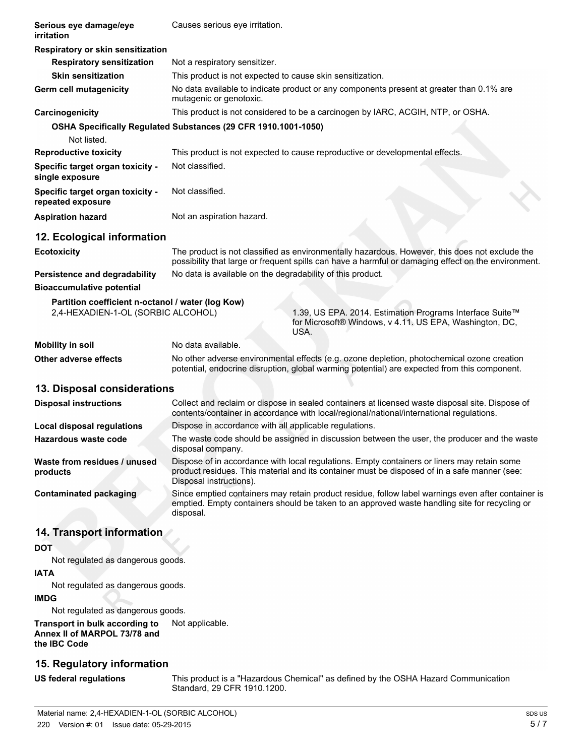| Serious eye damage/eye<br>irritation                                                    | Causes serious eye irritation.                                                                                                                                                                                         |  |
|-----------------------------------------------------------------------------------------|------------------------------------------------------------------------------------------------------------------------------------------------------------------------------------------------------------------------|--|
| Respiratory or skin sensitization                                                       |                                                                                                                                                                                                                        |  |
| <b>Respiratory sensitization</b>                                                        | Not a respiratory sensitizer.                                                                                                                                                                                          |  |
| <b>Skin sensitization</b>                                                               | This product is not expected to cause skin sensitization.                                                                                                                                                              |  |
| Germ cell mutagenicity                                                                  | No data available to indicate product or any components present at greater than 0.1% are<br>mutagenic or genotoxic.                                                                                                    |  |
| Carcinogenicity                                                                         | This product is not considered to be a carcinogen by IARC, ACGIH, NTP, or OSHA.                                                                                                                                        |  |
|                                                                                         | OSHA Specifically Regulated Substances (29 CFR 1910.1001-1050)                                                                                                                                                         |  |
| Not listed.                                                                             |                                                                                                                                                                                                                        |  |
| <b>Reproductive toxicity</b>                                                            | This product is not expected to cause reproductive or developmental effects.                                                                                                                                           |  |
| Specific target organ toxicity -<br>single exposure                                     | Not classified.                                                                                                                                                                                                        |  |
| Specific target organ toxicity -<br>repeated exposure                                   | Not classified.                                                                                                                                                                                                        |  |
| <b>Aspiration hazard</b>                                                                | Not an aspiration hazard.                                                                                                                                                                                              |  |
| 12. Ecological information                                                              |                                                                                                                                                                                                                        |  |
| <b>Ecotoxicity</b>                                                                      | The product is not classified as environmentally hazardous. However, this does not exclude the<br>possibility that large or frequent spills can have a harmful or damaging effect on the environment.                  |  |
| Persistence and degradability                                                           | No data is available on the degradability of this product.                                                                                                                                                             |  |
| <b>Bioaccumulative potential</b>                                                        |                                                                                                                                                                                                                        |  |
| Partition coefficient n-octanol / water (log Kow)<br>2,4-HEXADIEN-1-OL (SORBIC ALCOHOL) | 1.39, US EPA. 2014. Estimation Programs Interface Suite™<br>for Microsoft® Windows, v 4.11. US EPA, Washington, DC,<br>USA.                                                                                            |  |
| <b>Mobility in soil</b>                                                                 | No data available.                                                                                                                                                                                                     |  |
| Other adverse effects                                                                   | No other adverse environmental effects (e.g. ozone depletion, photochemical ozone creation                                                                                                                             |  |
|                                                                                         | potential, endocrine disruption, global warming potential) are expected from this component.                                                                                                                           |  |
| 13. Disposal considerations                                                             |                                                                                                                                                                                                                        |  |
| <b>Disposal instructions</b>                                                            | Collect and reclaim or dispose in sealed containers at licensed waste disposal site. Dispose of<br>contents/container in accordance with local/regional/national/international regulations.                            |  |
| Local disposal regulations                                                              | Dispose in accordance with all applicable regulations.                                                                                                                                                                 |  |
| Hazardous waste code                                                                    | The waste code should be assigned in discussion between the user, the producer and the waste<br>disposal company.                                                                                                      |  |
| Waste from residues / unused<br>products                                                | Dispose of in accordance with local regulations. Empty containers or liners may retain some<br>product residues. This material and its container must be disposed of in a safe manner (see:<br>Disposal instructions). |  |
| <b>Contaminated packaging</b>                                                           | Since emptied containers may retain product residue, follow label warnings even after container is<br>emptied. Empty containers should be taken to an approved waste handling site for recycling or<br>disposal.       |  |
| 14. Transport information                                                               |                                                                                                                                                                                                                        |  |
|                                                                                         |                                                                                                                                                                                                                        |  |
| <b>DOT</b>                                                                              |                                                                                                                                                                                                                        |  |

Not regulated as dangerous goods.

#### **IATA**

Not regulated as dangerous goods.

#### **IMDG**

Not regulated as dangerous goods.

**Transport in bulk according to** Not applicable. **Annex II of MARPOL 73/78 and the IBC Code**

## **15. Regulatory information**

**US federal regulations** This product is a "Hazardous Chemical" as defined by the OSHA Hazard Communication Standard, 29 CFR 1910.1200.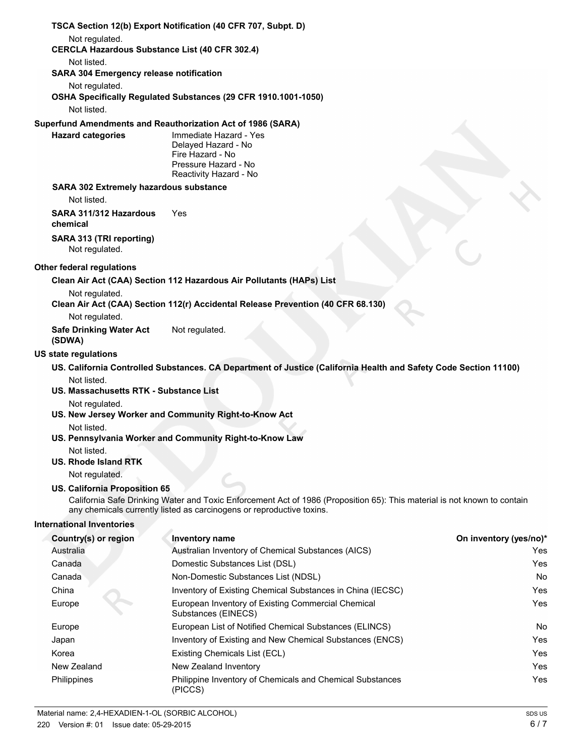|                                                              | TSCA Section 12(b) Export Notification (40 CFR 707, Subpt. D)                                                                                                                                     |                        |
|--------------------------------------------------------------|---------------------------------------------------------------------------------------------------------------------------------------------------------------------------------------------------|------------------------|
| Not regulated.                                               | <b>CERCLA Hazardous Substance List (40 CFR 302.4)</b>                                                                                                                                             |                        |
| Not listed.                                                  |                                                                                                                                                                                                   |                        |
| <b>SARA 304 Emergency release notification</b>               |                                                                                                                                                                                                   |                        |
| Not regulated.                                               |                                                                                                                                                                                                   |                        |
| Not listed.                                                  | OSHA Specifically Regulated Substances (29 CFR 1910.1001-1050)                                                                                                                                    |                        |
|                                                              | Superfund Amendments and Reauthorization Act of 1986 (SARA)                                                                                                                                       |                        |
| <b>Hazard categories</b>                                     | Immediate Hazard - Yes<br>Delayed Hazard - No<br>Fire Hazard - No<br>Pressure Hazard - No<br>Reactivity Hazard - No                                                                               |                        |
| <b>SARA 302 Extremely hazardous substance</b><br>Not listed. |                                                                                                                                                                                                   |                        |
|                                                              | Yes                                                                                                                                                                                               |                        |
| SARA 311/312 Hazardous<br>chemical                           |                                                                                                                                                                                                   |                        |
| SARA 313 (TRI reporting)<br>Not regulated.                   |                                                                                                                                                                                                   |                        |
| <b>Other federal regulations</b>                             |                                                                                                                                                                                                   |                        |
|                                                              | Clean Air Act (CAA) Section 112 Hazardous Air Pollutants (HAPs) List                                                                                                                              |                        |
| Not regulated.                                               | Clean Air Act (CAA) Section 112(r) Accidental Release Prevention (40 CFR 68.130)                                                                                                                  |                        |
| Not regulated.                                               |                                                                                                                                                                                                   |                        |
| <b>Safe Drinking Water Act</b><br>(SDWA)                     | Not regulated.                                                                                                                                                                                    |                        |
| <b>US state regulations</b>                                  |                                                                                                                                                                                                   |                        |
| Not listed.                                                  | US. California Controlled Substances. CA Department of Justice (California Health and Safety Code Section 11100)                                                                                  |                        |
| US. Massachusetts RTK - Substance List                       |                                                                                                                                                                                                   |                        |
| Not regulated.                                               |                                                                                                                                                                                                   |                        |
|                                                              | US. New Jersey Worker and Community Right-to-Know Act                                                                                                                                             |                        |
| Not listed.                                                  |                                                                                                                                                                                                   |                        |
| Not listed.                                                  | US. Pennsylvania Worker and Community Right-to-Know Law                                                                                                                                           |                        |
| <b>US. Rhode Island RTK</b>                                  |                                                                                                                                                                                                   |                        |
| Not regulated.                                               |                                                                                                                                                                                                   |                        |
| US. California Proposition 65                                |                                                                                                                                                                                                   |                        |
|                                                              | California Safe Drinking Water and Toxic Enforcement Act of 1986 (Proposition 65): This material is not known to contain<br>any chemicals currently listed as carcinogens or reproductive toxins. |                        |
| <b>International Inventories</b>                             |                                                                                                                                                                                                   |                        |
| Country(s) or region                                         | Inventory name                                                                                                                                                                                    | On inventory (yes/no)* |
| Australia                                                    | Australian Inventory of Chemical Substances (AICS)                                                                                                                                                | Yes                    |
| Canada                                                       | Domestic Substances List (DSL)                                                                                                                                                                    | Yes                    |
| Canada                                                       | Non-Domestic Substances List (NDSL)                                                                                                                                                               | No                     |
| China                                                        | Inventory of Existing Chemical Substances in China (IECSC)                                                                                                                                        | Yes                    |
| Europe                                                       | European Inventory of Existing Commercial Chemical<br>Substances (EINECS)                                                                                                                         | Yes                    |
| Europe                                                       | European List of Notified Chemical Substances (ELINCS)                                                                                                                                            | No                     |
| Japan                                                        | Inventory of Existing and New Chemical Substances (ENCS)                                                                                                                                          | Yes                    |
| Korea                                                        | Existing Chemicals List (ECL)                                                                                                                                                                     | Yes                    |
| New Zealand                                                  | New Zealand Inventory                                                                                                                                                                             | Yes                    |
| Philippines                                                  | Philippine Inventory of Chemicals and Chemical Substances                                                                                                                                         | Yes                    |

(PICCS)